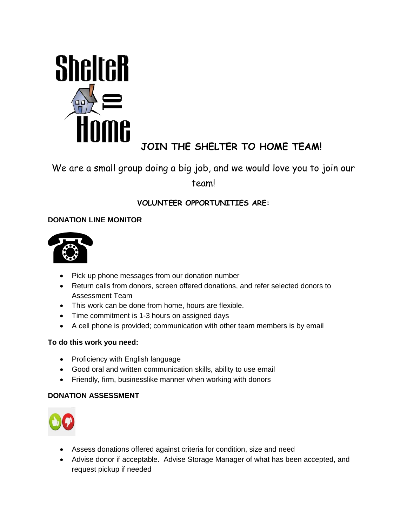

# **JOIN THE SHELTER TO HOME TEAM!**

## We are a small group doing a big job, and we would love you to join our team!

## **VOLUNTEER OPPORTUNITIES ARE:**

## **DONATION LINE MONITOR**



- Pick up phone messages from our donation number
- Return calls from donors, screen offered donations, and refer selected donors to Assessment Team
- This work can be done from home, hours are flexible.
- Time commitment is 1-3 hours on assigned days
- A cell phone is provided; communication with other team members is by email

## **To do this work you need:**

- Proficiency with English language
- Good oral and written communication skills, ability to use email
- Friendly, firm, businesslike manner when working with donors

## **DONATION ASSESSMENT**



- Assess donations offered against criteria for condition, size and need
- Advise donor if acceptable. Advise Storage Manager of what has been accepted, and request pickup if needed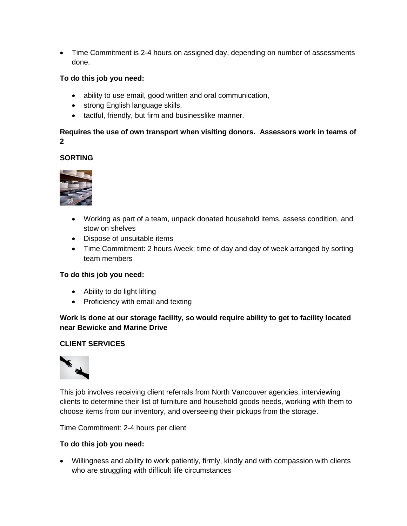• Time Commitment is 2-4 hours on assigned day, depending on number of assessments done.

#### **To do this job you need:**

- ability to use email, good written and oral communication,
- strong English language skills,
- tactful, friendly, but firm and businesslike manner.

#### **Requires the use of own transport when visiting donors. Assessors work in teams of 2**

## **SORTING**



- Working as part of a team, unpack donated household items, assess condition, and stow on shelves
- Dispose of unsuitable items
- Time Commitment: 2 hours /week; time of day and day of week arranged by sorting team members

#### **To do this job you need:**

- Ability to do light lifting
- Proficiency with email and texting

**Work is done at our storage facility, so would require ability to get to facility located near Bewicke and Marine Drive**

#### **CLIENT SERVICES**



This job involves receiving client referrals from North Vancouver agencies, interviewing clients to determine their list of furniture and household goods needs, working with them to choose items from our inventory, and overseeing their pickups from the storage.

Time Commitment: 2-4 hours per client

#### **To do this job you need:**

 Willingness and ability to work patiently, firmly, kindly and with compassion with clients who are struggling with difficult life circumstances